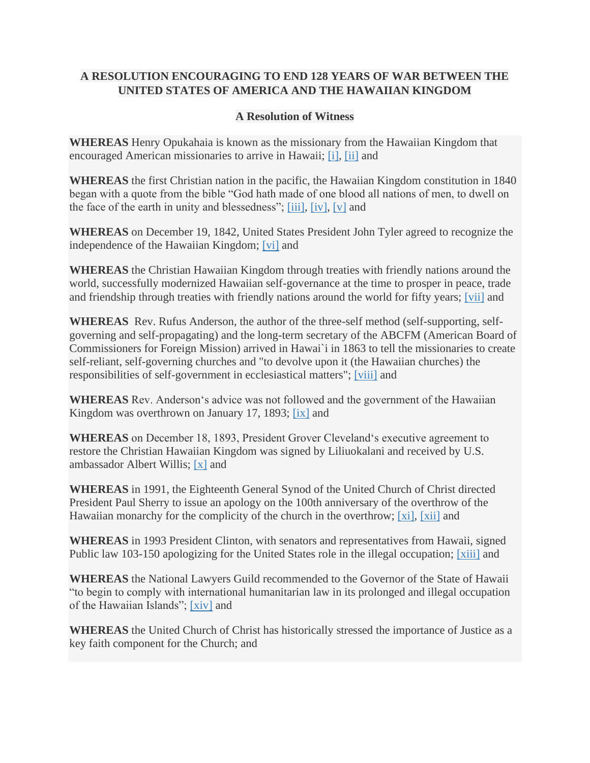## **A RESOLUTION ENCOURAGING TO END 128 YEARS OF WAR BETWEEN THE UNITED STATES OF AMERICA AND THE HAWAIIAN KINGDOM**

## **A Resolution of Witness**

**WHEREAS** Henry Opukahaia is known as the missionary from the Hawaiian Kingdom that encouraged American missionaries to arrive in Hawaii; [\[i\],](https://meet.ucc.org/#_edn1) [\[ii\]](https://meet.ucc.org/#_edn2) and

**WHEREAS** the first Christian nation in the pacific, the Hawaiian Kingdom constitution in 1840 began with a quote from the bible "God hath made of one blood all nations of men, to dwell on the face of the earth in unity and blessedness"; [\[iii\],](https://meet.ucc.org/#_edn3) [\[iv\],](https://meet.ucc.org/#_edn4) [\[v\]](https://meet.ucc.org/#_edn5) and

**WHEREAS** on December 19, 1842, United States President John Tyler agreed to recognize the independence of the Hawaiian Kingdom; [\[vi\]](https://meet.ucc.org/#_edn6) and

**WHEREAS** the Christian Hawaiian Kingdom through treaties with friendly nations around the world, successfully modernized Hawaiian self-governance at the time to prosper in peace, trade and friendship through treaties with friendly nations around the world for fifty years; [\[vii\]](https://meet.ucc.org/#_edn7) and

**WHEREAS** Rev. Rufus Anderson, the author of the three-self method (self-supporting, selfgoverning and self-propagating) and the long-term secretary of the ABCFM (American Board of Commissioners for Foreign Mission) arrived in Hawai`i in 1863 to tell the missionaries to create self-reliant, self-governing churches and "to devolve upon it (the Hawaiian churches) the responsibilities of self-government in ecclesiastical matters"; [\[viii\]](https://meet.ucc.org/#_edn8) and

**WHEREAS** Rev. Andersonʻs advice was not followed and the government of the Hawaiian Kingdom was overthrown on January 17, 1893; [\[ix\]](https://meet.ucc.org/#_edn9) and

**WHEREAS** on December 18, 1893, President Grover Clevelandʻs executive agreement to restore the Christian Hawaiian Kingdom was signed by Liliuokalani and received by U.S. ambassador Albert Willis; [\[x\]](https://meet.ucc.org/#_edn10) and

**WHEREAS** in 1991, the Eighteenth General Synod of the United Church of Christ directed President Paul Sherry to issue an apology on the 100th anniversary of the overthrow of the Hawaiian monarchy for the complicity of the church in the overthrow; [\[xi\],](https://meet.ucc.org/#_edn11) [\[xii\]](https://meet.ucc.org/#_edn12) and

**WHEREAS** in 1993 President Clinton, with senators and representatives from Hawaii, signed Public law 103-150 apologizing for the United States role in the illegal occupation; [\[xiii\]](https://meet.ucc.org/#_edn13) and

**WHEREAS** the National Lawyers Guild recommended to the Governor of the State of Hawaii "to begin to comply with international humanitarian law in its prolonged and illegal occupation of the Hawaiian Islands"; [\[xiv\]](https://meet.ucc.org/#_edn14) and

**WHEREAS** the United Church of Christ has historically stressed the importance of Justice as a key faith component for the Church; and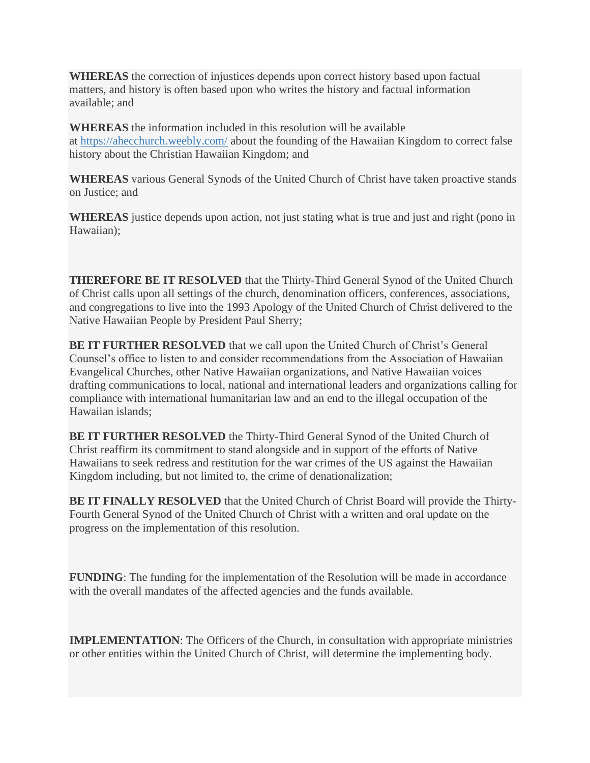**WHEREAS** the correction of injustices depends upon correct history based upon factual matters, and history is often based upon who writes the history and factual information available; and

**WHEREAS** the information included in this resolution will be available at <https://ahecchurch.weebly.com/> about the founding of the Hawaiian Kingdom to correct false history about the Christian Hawaiian Kingdom; and

**WHEREAS** various General Synods of the United Church of Christ have taken proactive stands on Justice; and

**WHEREAS** justice depends upon action, not just stating what is true and just and right (pono in Hawaiian);

**THEREFORE BE IT RESOLVED** that the Thirty-Third General Synod of the United Church of Christ calls upon all settings of the church, denomination officers, conferences, associations, and congregations to live into the 1993 Apology of the United Church of Christ delivered to the Native Hawaiian People by President Paul Sherry;

**BE IT FURTHER RESOLVED** that we call upon the United Church of Christ's General Counsel's office to listen to and consider recommendations from the Association of Hawaiian Evangelical Churches, other Native Hawaiian organizations, and Native Hawaiian voices drafting communications to local, national and international leaders and organizations calling for compliance with international humanitarian law and an end to the illegal occupation of the Hawaiian islands;

**BE IT FURTHER RESOLVED** the Thirty-Third General Synod of the United Church of Christ reaffirm its commitment to stand alongside and in support of the efforts of Native Hawaiians to seek redress and restitution for the war crimes of the US against the Hawaiian Kingdom including, but not limited to, the crime of denationalization;

**BE IT FINALLY RESOLVED** that the United Church of Christ Board will provide the Thirty-Fourth General Synod of the United Church of Christ with a written and oral update on the progress on the implementation of this resolution.

**FUNDING**: The funding for the implementation of the Resolution will be made in accordance with the overall mandates of the affected agencies and the funds available.

**IMPLEMENTATION:** The Officers of the Church, in consultation with appropriate ministries or other entities within the United Church of Christ, will determine the implementing body.